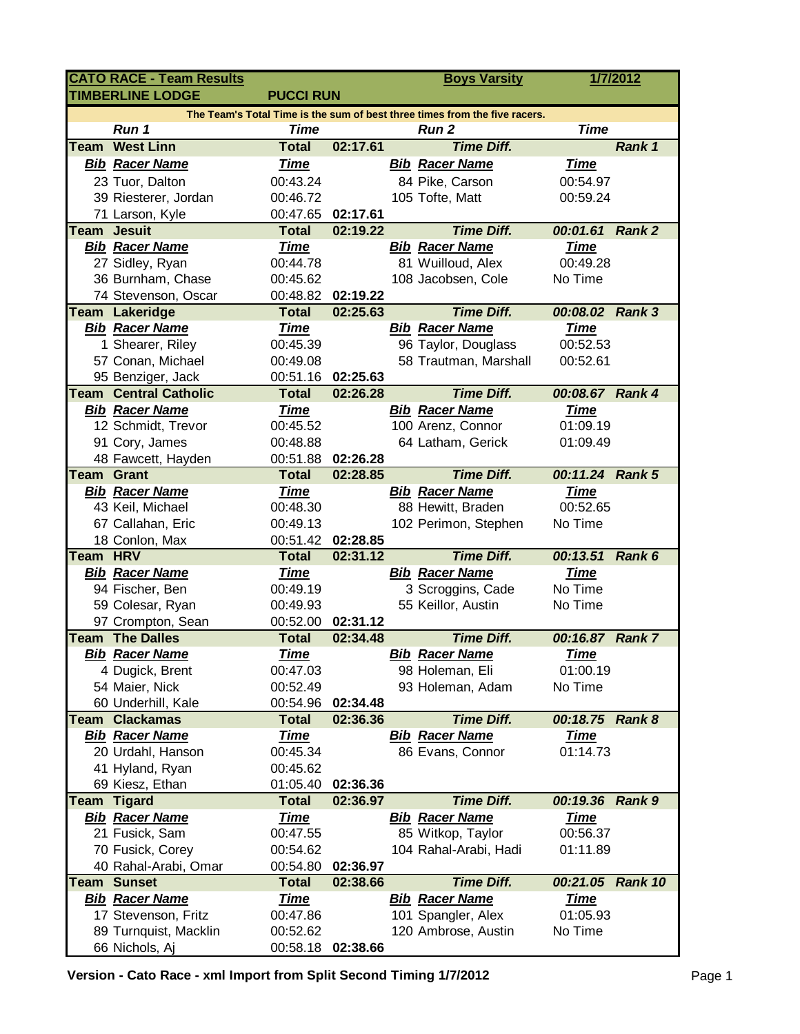|                                                                            | <b>CATO RACE - Team Results</b>        |                          |                      |  | <b>Boys Varsity</b>   |                         | 1/7/2012      |  |  |  |  |  |
|----------------------------------------------------------------------------|----------------------------------------|--------------------------|----------------------|--|-----------------------|-------------------------|---------------|--|--|--|--|--|
|                                                                            | <b>TIMBERLINE LODGE</b>                | <b>PUCCI RUN</b>         |                      |  |                       |                         |               |  |  |  |  |  |
| The Team's Total Time is the sum of best three times from the five racers. |                                        |                          |                      |  |                       |                         |               |  |  |  |  |  |
|                                                                            | Run 1                                  | <b>Time</b>              |                      |  | Run <sub>2</sub>      | <b>Time</b>             |               |  |  |  |  |  |
| Team                                                                       | <b>West Linn</b>                       | <b>Total</b>             | 02:17.61             |  | <b>Time Diff.</b>     |                         | Rank 1        |  |  |  |  |  |
|                                                                            | <b>Bib Racer Name</b>                  | <b>Time</b>              |                      |  | <b>Bib Racer Name</b> | <b>Time</b>             |               |  |  |  |  |  |
|                                                                            | 23 Tuor, Dalton                        | 00:43.24                 |                      |  | 84 Pike, Carson       | 00:54.97                |               |  |  |  |  |  |
|                                                                            | 39 Riesterer, Jordan                   | 00:46.72                 |                      |  | 105 Tofte, Matt       | 00:59.24                |               |  |  |  |  |  |
|                                                                            | 71 Larson, Kyle                        | 00:47.65                 | 02:17.61             |  |                       |                         |               |  |  |  |  |  |
| <b>Team</b>                                                                | <b>Jesuit</b>                          | <b>Total</b>             | 02:19.22             |  | <b>Time Diff.</b>     | 00:01.61 Rank 2         |               |  |  |  |  |  |
|                                                                            | <b>Bib Racer Name</b>                  | <b>Time</b>              |                      |  | <b>Bib Racer Name</b> | <b>Time</b>             |               |  |  |  |  |  |
|                                                                            | 27 Sidley, Ryan                        | 00:44.78                 |                      |  | 81 Wuilloud, Alex     | 00:49.28                |               |  |  |  |  |  |
|                                                                            | 36 Burnham, Chase                      | 00:45.62                 |                      |  | 108 Jacobsen, Cole    | No Time                 |               |  |  |  |  |  |
|                                                                            | 74 Stevenson, Oscar                    | 00:48.82                 | 02:19.22             |  |                       |                         |               |  |  |  |  |  |
|                                                                            | <b>Team Lakeridge</b>                  | <b>Total</b>             | 02:25.63             |  | <b>Time Diff.</b>     | 00:08.02 Rank 3         |               |  |  |  |  |  |
|                                                                            | <b>Bib Racer Name</b>                  | <b>Time</b>              |                      |  | <b>Bib Racer Name</b> | <b>Time</b>             |               |  |  |  |  |  |
|                                                                            | 1 Shearer, Riley                       | 00:45.39                 |                      |  | 96 Taylor, Douglass   | 00:52.53                |               |  |  |  |  |  |
|                                                                            | 57 Conan, Michael                      | 00:49.08                 |                      |  | 58 Trautman, Marshall | 00:52.61                |               |  |  |  |  |  |
|                                                                            | 95 Benziger, Jack                      | 00:51.16                 | 02:25.63             |  |                       |                         |               |  |  |  |  |  |
|                                                                            | <b>Team Central Catholic</b>           | <b>Total</b>             | 02:26.28             |  | <b>Time Diff.</b>     | 00:08.67 Rank 4         |               |  |  |  |  |  |
|                                                                            | <b>Bib Racer Name</b>                  | <b>Time</b>              |                      |  | <b>Bib Racer Name</b> | <b>Time</b>             |               |  |  |  |  |  |
|                                                                            | 12 Schmidt, Trevor                     | 00:45.52                 |                      |  | 100 Arenz, Connor     | 01:09.19                |               |  |  |  |  |  |
|                                                                            | 91 Cory, James                         | 00:48.88                 |                      |  | 64 Latham, Gerick     | 01:09.49                |               |  |  |  |  |  |
|                                                                            | 48 Fawcett, Hayden                     | 00:51.88                 | 02:26.28             |  |                       |                         |               |  |  |  |  |  |
| <b>Team Grant</b>                                                          |                                        | <b>Total</b>             | 02:28.85             |  | <b>Time Diff.</b>     | 00:11.24 Rank 5         |               |  |  |  |  |  |
|                                                                            | <b>Bib Racer Name</b>                  | <b>Time</b>              |                      |  | <b>Bib Racer Name</b> | <u>Time</u>             |               |  |  |  |  |  |
|                                                                            | 43 Keil, Michael                       | 00:48.30                 |                      |  | 88 Hewitt, Braden     | 00:52.65                |               |  |  |  |  |  |
|                                                                            | 67 Callahan, Eric                      | 00:49.13                 |                      |  | 102 Perimon, Stephen  | No Time                 |               |  |  |  |  |  |
|                                                                            | 18 Conlon, Max                         | 00:51.42                 | 02:28.85             |  |                       |                         |               |  |  |  |  |  |
| Team HRV                                                                   |                                        | <b>Total</b>             | 02:31.12             |  | <b>Time Diff.</b>     | 00:13.51                | Rank 6        |  |  |  |  |  |
|                                                                            | <b>Bib Racer Name</b>                  | <u>Time</u>              |                      |  | <b>Bib Racer Name</b> | <b>Time</b>             |               |  |  |  |  |  |
|                                                                            | 94 Fischer, Ben                        | 00:49.19                 |                      |  | 3 Scroggins, Cade     | No Time                 |               |  |  |  |  |  |
|                                                                            | 59 Colesar, Ryan                       | 00:49.93                 |                      |  | 55 Keillor, Austin    | No Time                 |               |  |  |  |  |  |
|                                                                            | 97 Crompton, Sean                      | 00:52.00                 | 02:31.12             |  |                       |                         |               |  |  |  |  |  |
|                                                                            | <b>Team The Dalles</b>                 | <b>Total</b>             | 02:34.48             |  | <b>Time Diff.</b>     | 00:16.87 Rank 7         |               |  |  |  |  |  |
|                                                                            | <b>Bib Racer Name</b>                  | <u>Time</u>              |                      |  | <b>Bib Racer Name</b> | <b>Time</b>             |               |  |  |  |  |  |
|                                                                            | 4 Dugick, Brent                        | 00:47.03                 |                      |  | 98 Holeman, Eli       | 01:00.19                |               |  |  |  |  |  |
|                                                                            | 54 Maier, Nick                         | 00:52.49                 |                      |  | 93 Holeman, Adam      | No Time                 |               |  |  |  |  |  |
|                                                                            | 60 Underhill, Kale                     | 00:54.96                 | 02:34.48             |  |                       |                         |               |  |  |  |  |  |
|                                                                            | <b>Team Clackamas</b>                  | <b>Total</b>             | 02:36.36             |  | <b>Time Diff.</b>     | 00:18.75                | <b>Rank 8</b> |  |  |  |  |  |
|                                                                            | <b>Bib Racer Name</b>                  | <u>Time</u>              |                      |  | <b>Bib Racer Name</b> | <u>Time</u><br>01:14.73 |               |  |  |  |  |  |
|                                                                            | 20 Urdahl, Hanson                      | 00:45.34                 |                      |  | 86 Evans, Connor      |                         |               |  |  |  |  |  |
|                                                                            | 41 Hyland, Ryan                        | 00:45.62                 |                      |  |                       |                         |               |  |  |  |  |  |
|                                                                            | 69 Kiesz, Ethan                        | 01:05.40<br><b>Total</b> | 02:36.36<br>02:36.97 |  | <b>Time Diff.</b>     | 00:19.36 Rank 9         |               |  |  |  |  |  |
| Team                                                                       | <b>Tigard</b><br><b>Bib Racer Name</b> | <b>Time</b>              |                      |  | <b>Bib Racer Name</b> | <b>Time</b>             |               |  |  |  |  |  |
|                                                                            | 21 Fusick, Sam                         | 00:47.55                 |                      |  | 85 Witkop, Taylor     | 00:56.37                |               |  |  |  |  |  |
|                                                                            | 70 Fusick, Corey                       | 00:54.62                 |                      |  | 104 Rahal-Arabi, Hadi | 01:11.89                |               |  |  |  |  |  |
|                                                                            | 40 Rahal-Arabi, Omar                   | 00:54.80                 | 02:36.97             |  |                       |                         |               |  |  |  |  |  |
|                                                                            | <b>Team Sunset</b>                     | <b>Total</b>             | 02:38.66             |  | <b>Time Diff.</b>     | 00:21.05                | Rank 10       |  |  |  |  |  |
|                                                                            | <b>Bib Racer Name</b>                  | <u>Time</u>              |                      |  | <b>Bib Racer Name</b> | <b>Time</b>             |               |  |  |  |  |  |
|                                                                            | 17 Stevenson, Fritz                    | 00:47.86                 |                      |  | 101 Spangler, Alex    | 01:05.93                |               |  |  |  |  |  |
|                                                                            | 89 Turnquist, Macklin                  | 00:52.62                 |                      |  | 120 Ambrose, Austin   | No Time                 |               |  |  |  |  |  |
|                                                                            | 66 Nichols, Aj                         | 00:58.18                 | 02:38.66             |  |                       |                         |               |  |  |  |  |  |
|                                                                            |                                        |                          |                      |  |                       |                         |               |  |  |  |  |  |

**Version - Cato Race - xml Import from Split Second Timing 1/7/2012** Page 1